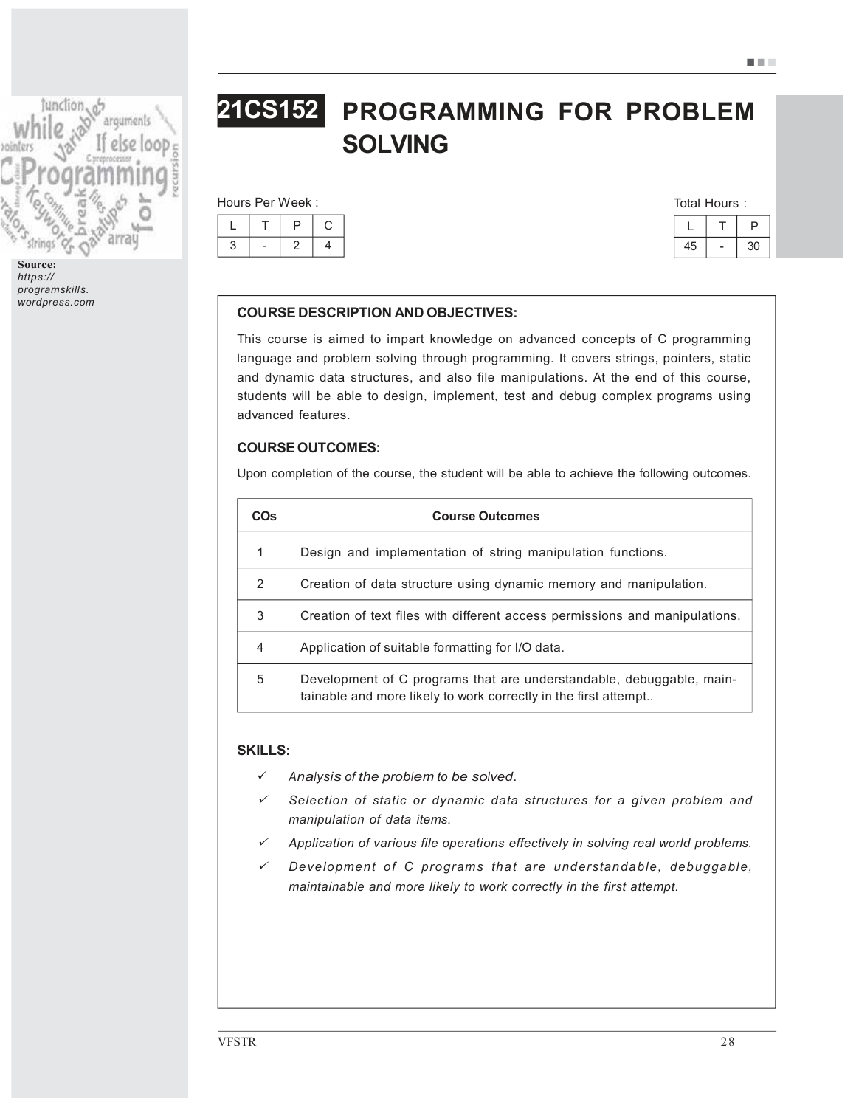

Source: https:// programskills. wordpress.com

# PROGRAMMING FOR PROBLEM SOLVING 21CS152

|  | Hours Per Week: |  |
|--|-----------------|--|
|  |                 |  |

| Total Hours: |
|--------------|
|--------------|

## COURSE DESCRIPTION AND OBJECTIVES:

This course is aimed to impart knowledge on advanced concepts of C programming language and problem solving through programming. It covers strings, pointers, static and dynamic data structures, and also file manipulations. At the end of this course, students will be able to design, implement, test and debug complex programs using advanced features.

## COURSE OUTCOMES:

Upon completion of the course, the student will be able to achieve the following outcomes.

| <b>COs</b>    | <b>Course Outcomes</b>                                                                                                                  |
|---------------|-----------------------------------------------------------------------------------------------------------------------------------------|
| 1             | Design and implementation of string manipulation functions.                                                                             |
| $\mathcal{P}$ | Creation of data structure using dynamic memory and manipulation.                                                                       |
| 3             | Creation of text files with different access permissions and manipulations.                                                             |
| 4             | Application of suitable formatting for I/O data.                                                                                        |
| 5             | Development of C programs that are understandable, debuggable, main-<br>tainable and more likely to work correctly in the first attempt |

## SKILLS:

- Analysis of the problem to be solved.
- ¸ Selection of static or dynamic data structures for a given problem and manipulation of data items.
- ¸Application of various file operations effectively in solving real world problems.
- ¸ Development of C programs that are understandable, debuggable, maintainable and more likely to work correctly in the first attempt.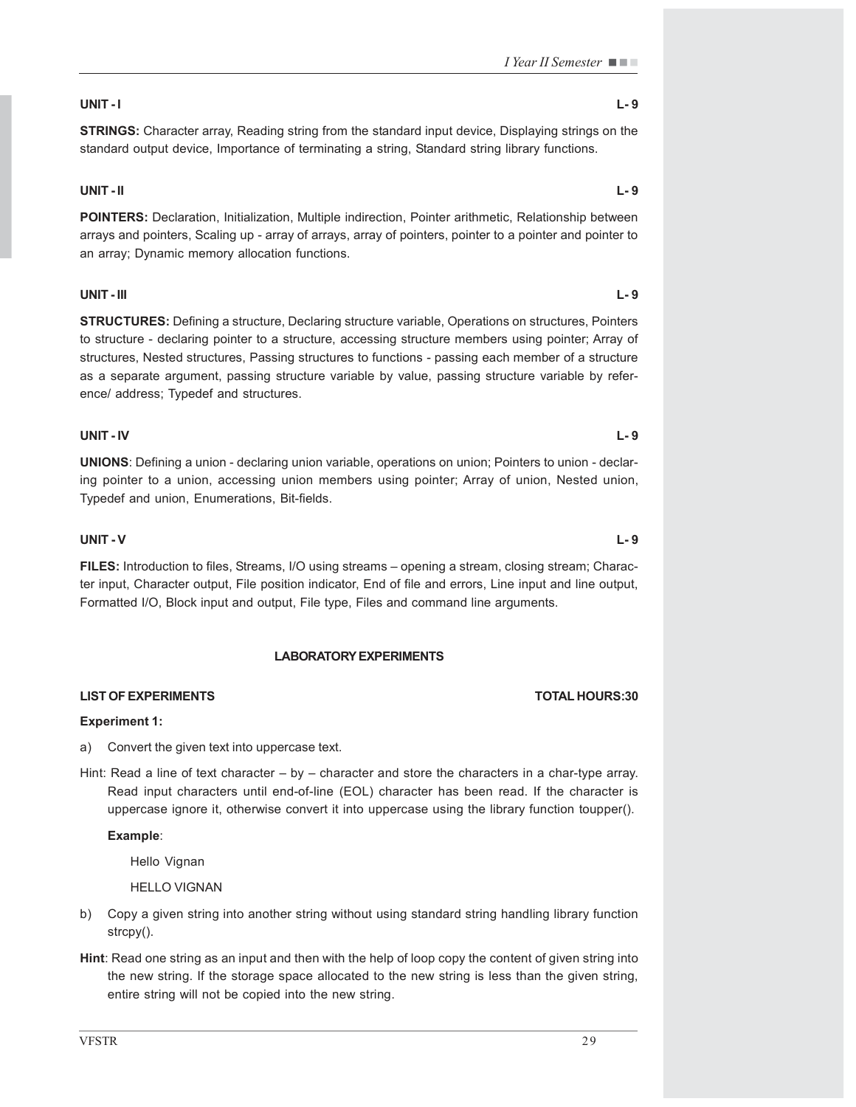## UNIT - I L- 9

STRINGS: Character array, Reading string from the standard input device, Displaying strings on the standard output device, Importance of terminating a string, Standard string library functions.

## UNIT - II L- 9

POINTERS: Declaration, Initialization, Multiple indirection, Pointer arithmetic, Relationship between arrays and pointers, Scaling up - array of arrays, array of pointers, pointer to a pointer and pointer to an array; Dynamic memory allocation functions.

## UNIT - III L- 9

STRUCTURES: Defining a structure, Declaring structure variable, Operations on structures, Pointers to structure - declaring pointer to a structure, accessing structure members using pointer; Array of structures, Nested structures, Passing structures to functions - passing each member of a structure as a separate argument, passing structure variable by value, passing structure variable by reference/ address; Typedef and structures.

## UNIT - IV L- 9

UNIONS: Defining a union - declaring union variable, operations on union; Pointers to union - declaring pointer to a union, accessing union members using pointer; Array of union, Nested union, Typedef and union, Enumerations, Bit-fields.

## UNIT - V L- 9

FILES: Introduction to files, Streams, I/O using streams – opening a stream, closing stream; Character input, Character output, File position indicator, End of file and errors, Line input and line output, Formatted I/O, Block input and output, File type, Files and command line arguments.

## LABORATORY EXPERIMENTS

## LIST OF EXPERIMENTS TOTAL HOURS:30

## Experiment 1:

- a) Convert the given text into uppercase text.
- Hint: Read a line of text character by character and store the characters in a char-type array. Read input characters until end-of-line (EOL) character has been read. If the character is uppercase ignore it, otherwise convert it into uppercase using the library function toupper().

## Example:

Hello Vignan

HELLO VIGNAN

- b) Copy a given string into another string without using standard string handling library function strcpy().
- Hint: Read one string as an input and then with the help of loop copy the content of given string into the new string. If the storage space allocated to the new string is less than the given string, entire string will not be copied into the new string.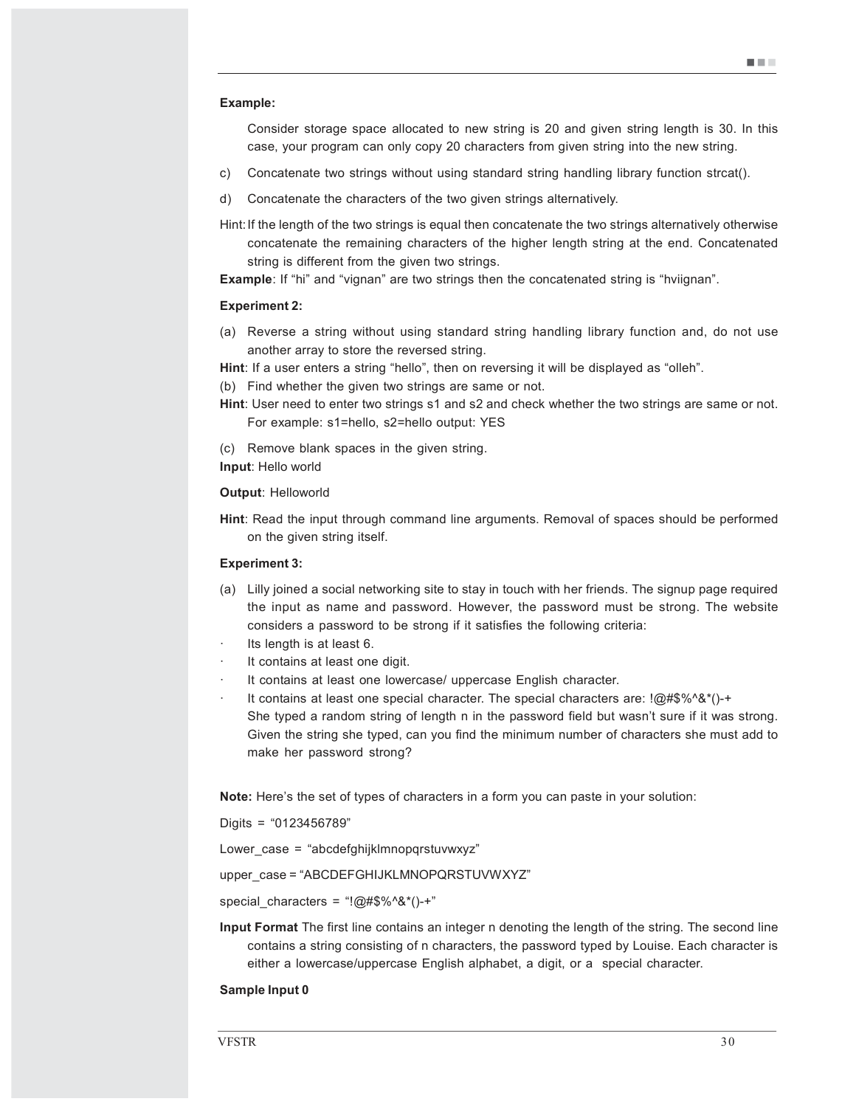#### Example:

Consider storage space allocated to new string is 20 and given string length is 30. In this case, your program can only copy 20 characters from given string into the new string.

- c) Concatenate two strings without using standard string handling library function strcat().
- d) Concatenate the characters of the two given strings alternatively.
- Hint:If the length of the two strings is equal then concatenate the two strings alternatively otherwise concatenate the remaining characters of the higher length string at the end. Concatenated string is different from the given two strings.

**Example:** If "hi" and "vignan" are two strings then the concatenated string is "hviignan".

#### Experiment 2:

(a) Reverse a string without using standard string handling library function and, do not use another array to store the reversed string.

Hint: If a user enters a string "hello", then on reversing it will be displayed as "olleh".

(b) Find whether the given two strings are same or not.

- Hint: User need to enter two strings s1 and s2 and check whether the two strings are same or not. For example: s1=hello, s2=hello output: YES
- (c) Remove blank spaces in the given string.
- Input: Hello world

#### Output: Helloworld

Hint: Read the input through command line arguments. Removal of spaces should be performed on the given string itself.

#### Experiment 3:

- (a) Lilly joined a social networking site to stay in touch with her friends. The signup page required the input as name and password. However, the password must be strong. The website considers a password to be strong if it satisfies the following criteria:
- Its length is at least 6.
- It contains at least one digit.
- It contains at least one lowercase/ uppercase English character.
- · It contains at least one special character. The special characters are: !@#\$%^&\*()-+ She typed a random string of length n in the password field but wasn't sure if it was strong. Given the string she typed, can you find the minimum number of characters she must add to make her password strong?

Note: Here's the set of types of characters in a form you can paste in your solution:

Digits = "0123456789"

Lower case = "abcdefghijklmnopqrstuvwxyz"

upper\_case = "ABCDEFGHIJKLMNOPQRSTUVWXYZ"

special characters = "!@#\$%^&\*()-+"

Input Format The first line contains an integer n denoting the length of the string. The second line contains a string consisting of n characters, the password typed by Louise. Each character is either a lowercase/uppercase English alphabet, a digit, or a special character.

### Sample Input 0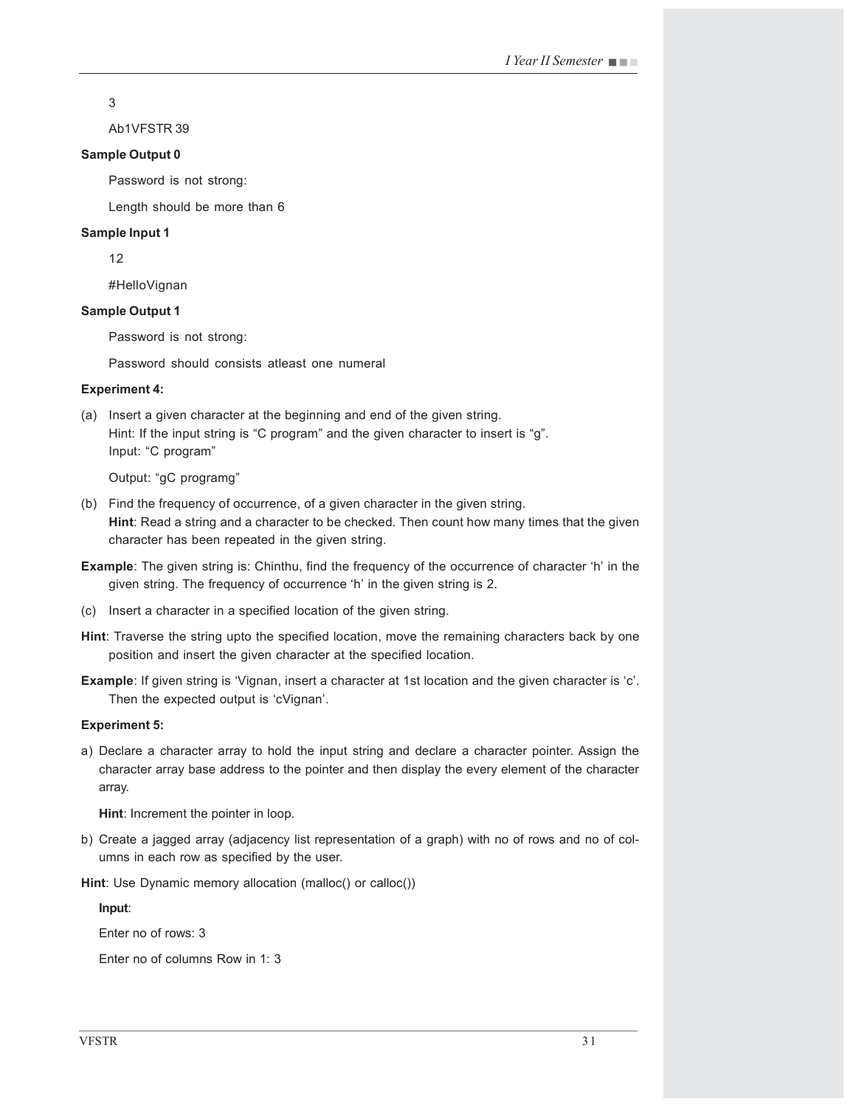3

Ab1VFSTR 39

### Sample Output 0

Password is not strong:

Length should be more than 6

### Sample Input 1

12

#HelloVignan

## Sample Output 1

Password is not strong:

Password should consists atleast one numeral

### Experiment 4:

(a) Insert a given character at the beginning and end of the given string. Hint: If the input string is "C program" and the given character to insert is "g". Input: "C program"

Output: "gC programg"

- (b) Find the frequency of occurrence, of a given character in the given string. Hint: Read a string and a character to be checked. Then count how many times that the given character has been repeated in the given string.
- Example: The given string is: Chinthu, find the frequency of the occurrence of character 'h' in the given string. The frequency of occurrence 'h' in the given string is 2.
- (c) Insert a character in a specified location of the given string.
- Hint: Traverse the string upto the specified location, move the remaining characters back by one position and insert the given character at the specified location.
- Example: If given string is 'Vignan, insert a character at 1st location and the given character is 'c'. Then the expected output is 'cVignan'.

### Experiment 5:

a) Declare a character array to hold the input string and declare a character pointer. Assign the character array base address to the pointer and then display the every element of the character array.

Hint: Increment the pointer in loop.

b) Create a jagged array (adjacency list representation of a graph) with no of rows and no of columns in each row as specified by the user.

Hint: Use Dynamic memory allocation (malloc() or calloc())

Input:

Enter no of rows: 3

Enter no of columns Row in 1: 3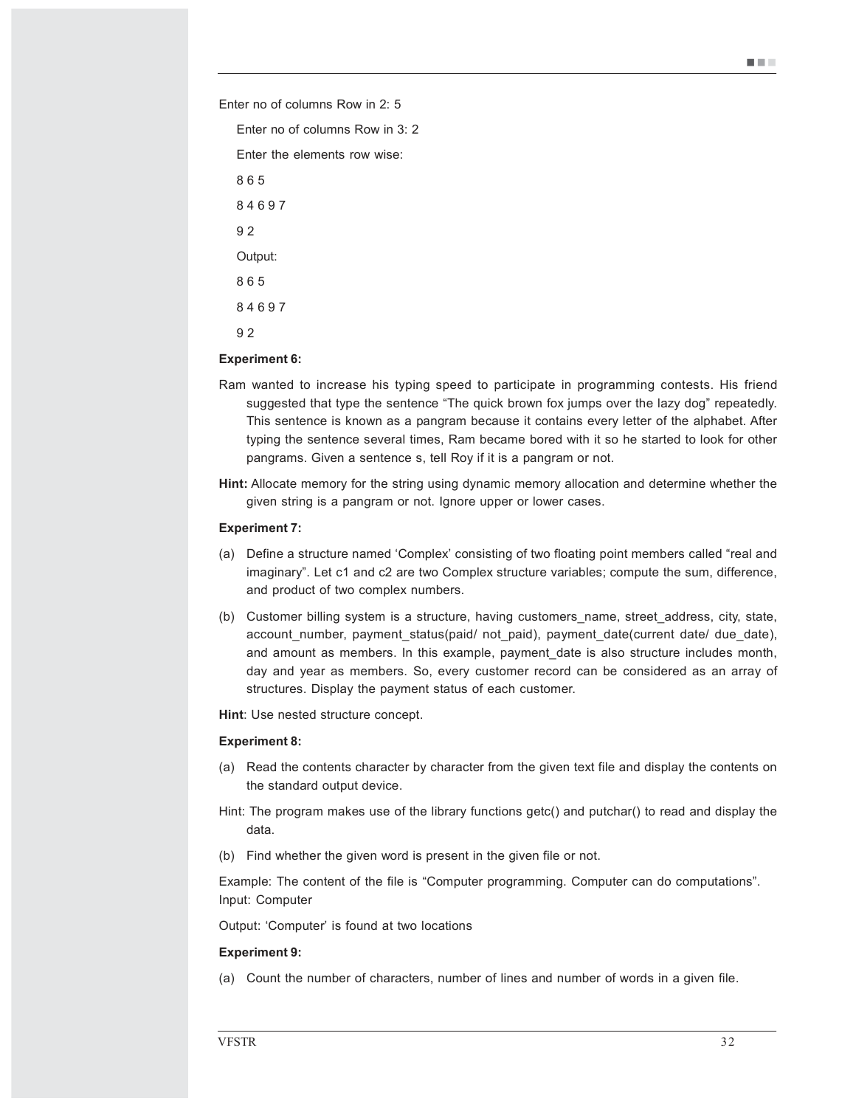u u u

Enter no of columns Row in 2: 5

Enter no of columns Row in 3: 2

Enter the elements row wise:

9 2

### Experiment 6:

- Ram wanted to increase his typing speed to participate in programming contests. His friend suggested that type the sentence "The quick brown fox jumps over the lazy dog" repeatedly. This sentence is known as a pangram because it contains every letter of the alphabet. After typing the sentence several times, Ram became bored with it so he started to look for other pangrams. Given a sentence s, tell Roy if it is a pangram or not.
- Hint: Allocate memory for the string using dynamic memory allocation and determine whether the given string is a pangram or not. Ignore upper or lower cases.

#### Experiment 7:

- (a) Define a structure named 'Complex' consisting of two floating point members called "real and imaginary". Let c1 and c2 are two Complex structure variables; compute the sum, difference, and product of two complex numbers.
- (b) Customer billing system is a structure, having customers\_name, street\_address, city, state, account number, payment status(paid/ not paid), payment date(current date/ due date), and amount as members. In this example, payment date is also structure includes month, day and year as members. So, every customer record can be considered as an array of structures. Display the payment status of each customer.

Hint: Use nested structure concept.

#### Experiment 8:

- (a) Read the contents character by character from the given text file and display the contents on the standard output device.
- Hint: The program makes use of the library functions getc() and putchar() to read and display the data.
- (b) Find whether the given word is present in the given file or not.

Example: The content of the file is "Computer programming. Computer can do computations". Input: Computer

Output: 'Computer' is found at two locations

#### Experiment 9:

(a) Count the number of characters, number of lines and number of words in a given file.